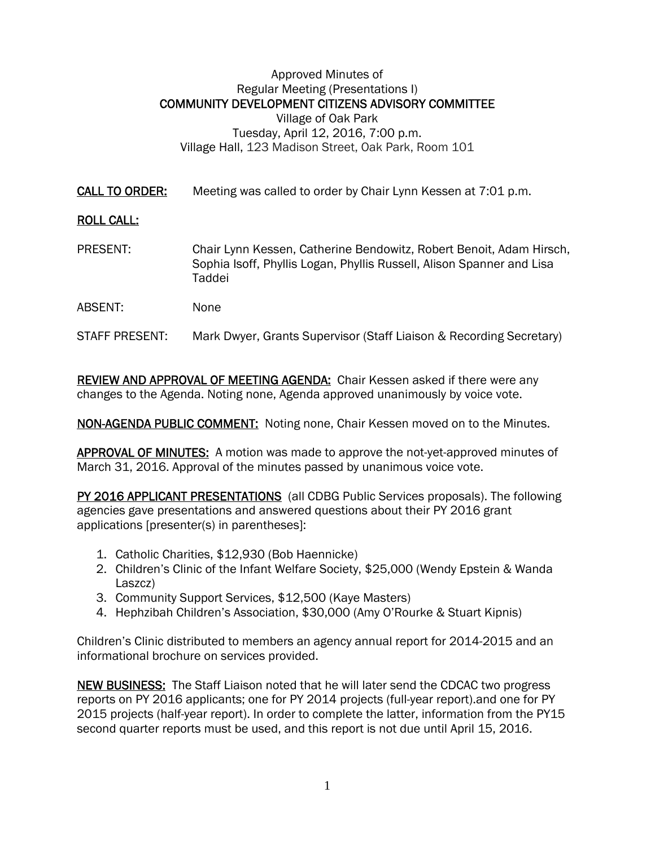## Approved Minutes of Regular Meeting (Presentations I) COMMUNITY DEVELOPMENT CITIZENS ADVISORY COMMITTEE Village of Oak Park Tuesday, April 12, 2016, 7:00 p.m. Village Hall, 123 Madison Street, Oak Park, Room 101

CALL TO ORDER: Meeting was called to order by Chair Lynn Kessen at 7:01 p.m.

## ROLL CALL:

- PRESENT: Chair Lynn Kessen, Catherine Bendowitz, Robert Benoit, Adam Hirsch, Sophia Isoff, Phyllis Logan, Phyllis Russell, Alison Spanner and Lisa Taddei
- ABSENT: None
- STAFF PRESENT: Mark Dwyer, Grants Supervisor (Staff Liaison & Recording Secretary)

REVIEW AND APPROVAL OF MEETING AGENDA: Chair Kessen asked if there were any changes to the Agenda. Noting none, Agenda approved unanimously by voice vote.

NON-AGENDA PUBLIC COMMENT: Noting none, Chair Kessen moved on to the Minutes.

APPROVAL OF MINUTES: A motion was made to approve the not-yet-approved minutes of March 31, 2016. Approval of the minutes passed by unanimous voice vote.

PY 2016 APPLICANT PRESENTATIONS (all CDBG Public Services proposals). The following agencies gave presentations and answered questions about their PY 2016 grant applications [presenter(s) in parentheses]:

- 1. Catholic Charities, \$12,930 (Bob Haennicke)
- 2. Children's Clinic of the Infant Welfare Society, \$25,000 (Wendy Epstein & Wanda Laszcz)
- 3. Community Support Services, \$12,500 (Kaye Masters)
- 4. Hephzibah Children's Association, \$30,000 (Amy O'Rourke & Stuart Kipnis)

Children's Clinic distributed to members an agency annual report for 2014-2015 and an informational brochure on services provided.

NEW BUSINESS: The Staff Liaison noted that he will later send the CDCAC two progress reports on PY 2016 applicants; one for PY 2014 projects (full-year report).and one for PY 2015 projects (half-year report). In order to complete the latter, information from the PY15 second quarter reports must be used, and this report is not due until April 15, 2016.